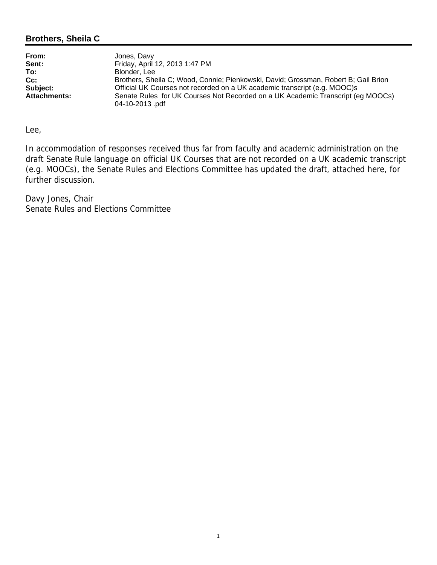### **Brothers, Sheila C**

| From:               | Jones, Davy                                                                                       |
|---------------------|---------------------------------------------------------------------------------------------------|
| Sent:               | Friday, April 12, 2013 1:47 PM                                                                    |
| To:                 | Blonder, Lee                                                                                      |
| $Cc$ :              | Brothers, Sheila C; Wood, Connie; Pienkowski, David; Grossman, Robert B; Gail Brion               |
| Subject:            | Official UK Courses not recorded on a UK academic transcript (e.g. MOOC)s                         |
| <b>Attachments:</b> | Senate Rules for UK Courses Not Recorded on a UK Academic Transcript (eg MOOCs)<br>04-10-2013 pdf |

Lee,

In accommodation of responses received thus far from faculty and academic administration on the draft Senate Rule language on official UK Courses that are not recorded on a UK academic transcript (e.g. MOOCs), the Senate Rules and Elections Committee has updated the draft, attached here, for further discussion.

Davy Jones, Chair Senate Rules and Elections Committee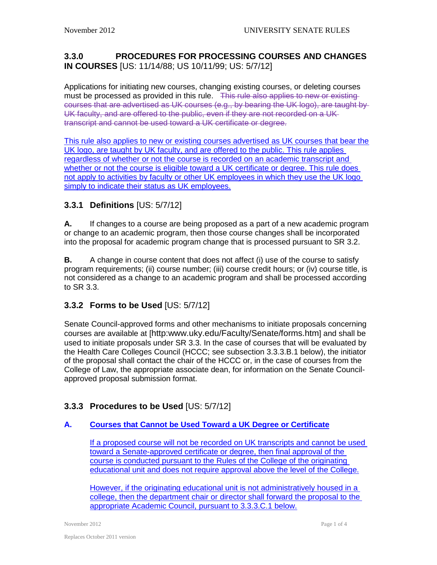### **3.3.0 PROCEDURES FOR PROCESSING COURSES AND CHANGES IN COURSES** [US: 11/14/88; US 10/11/99; US: 5/7/12]

Applications for initiating new courses, changing existing courses, or deleting courses must be processed as provided in this rule. This rule also applies to new or existing courses that are advertised as UK courses (e.g., by bearing the UK logo), are taught by UK faculty, and are offered to the public, even if they are not recorded on a UK transcript and cannot be used toward a UK certificate or degree.

This rule also applies to new or existing courses advertised as UK courses that bear the UK logo, are taught by UK faculty, and are offered to the public. This rule applies regardless of whether or not the course is recorded on an academic transcript and whether or not the course is eligible toward a UK certificate or degree. This rule does not apply to activities by faculty or other UK employees in which they use the UK logo simply to indicate their status as UK employees.

# **3.3.1 Definitions** [US: 5/7/12]

**A.** If changes to a course are being proposed as a part of a new academic program or change to an academic program, then those course changes shall be incorporated into the proposal for academic program change that is processed pursuant to SR 3.2.

**B.** A change in course content that does not affect (i) use of the course to satisfy program requirements; (ii) course number; (iii) course credit hours; or (iv) course title, is not considered as a change to an academic program and shall be processed according to SR 3.3.

## **3.3.2 Forms to be Used** [US: 5/7/12]

Senate Council-approved forms and other mechanisms to initiate proposals concerning courses are available at [\[http:www.uky.edu/Faculty/Senate/forms.htm\]](http://www.uky.edu/Faculty/Senate/forms.htm) and shall be used to initiate proposals under SR 3.3. In the case of courses that will be evaluated by the Health Care Colleges Council (HCCC; see subsection 3.3.3.B.1 below), the initiator of the proposal shall contact the chair of the HCCC or, in the case of courses from the College of Law, the appropriate associate dean, for information on the Senate Councilapproved proposal submission format.

## **3.3.3 Procedures to be Used** [US: 5/7/12]

#### **A. Courses that Cannot be Used Toward a UK Degree or Certificate**

If a proposed course will not be recorded on UK transcripts and cannot be used toward a Senate-approved certificate or degree, then final approval of the course is conducted pursuant to the Rules of the College of the originating educational unit and does not require approval above the level of the College.

However, if the originating educational unit is not administratively housed in a college, then the department chair or director shall forward the proposal to the appropriate Academic Council, pursuant to 3.3.3.C.1 below.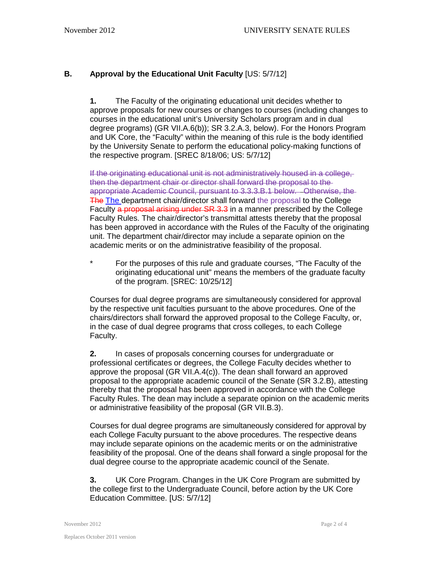#### **B. Approval by the Educational Unit Faculty** [US: 5/7/12]

**1.** The Faculty of the originating educational unit decides whether to approve proposals for new courses or changes to courses (including changes to courses in the educational unit's University Scholars program and in dual degree programs) (GR VII.A.6(b)); SR 3.2.A.3, below). For the Honors Program and UK Core, the "Faculty" within the meaning of this rule is the body identified by the University Senate to perform the educational policy-making functions of the respective program. [SREC 8/18/06; US: 5/7/12]

If the originating educational unit is not administratively housed in a college, then the department chair or director shall forward the proposal to the appropriate Academic Council, pursuant to 3.3.3.B.1 below. Otherwise, the The The department chair/director shall forward the proposal to the College Faculty a proposal arising under SR 3.3 in a manner prescribed by the College Faculty Rules. The chair/director's transmittal attests thereby that the proposal has been approved in accordance with the Rules of the Faculty of the originating unit. The department chair/director may include a separate opinion on the academic merits or on the administrative feasibility of the proposal.

\* For the purposes of this rule and graduate courses, "The Faculty of the originating educational unit" means the members of the graduate faculty of the program. [SREC: 10/25/12]

Courses for dual degree programs are simultaneously considered for approval by the respective unit faculties pursuant to the above procedures. One of the chairs/directors shall forward the approved proposal to the College Faculty, or, in the case of dual degree programs that cross colleges, to each College Faculty.

**2.** In cases of proposals concerning courses for undergraduate or professional certificates or degrees, the College Faculty decides whether to approve the proposal (GR VII.A.4(c)). The dean shall forward an approved proposal to the appropriate academic council of the Senate (SR 3.2.B), attesting thereby that the proposal has been approved in accordance with the College Faculty Rules. The dean may include a separate opinion on the academic merits or administrative feasibility of the proposal (GR VII.B.3).

Courses for dual degree programs are simultaneously considered for approval by each College Faculty pursuant to the above procedures. The respective deans may include separate opinions on the academic merits or on the administrative feasibility of the proposal. One of the deans shall forward a single proposal for the dual degree course to the appropriate academic council of the Senate.

**3.** UK Core Program. Changes in the UK Core Program are submitted by the college first to the Undergraduate Council, before action by the UK Core Education Committee. [US: 5/7/12]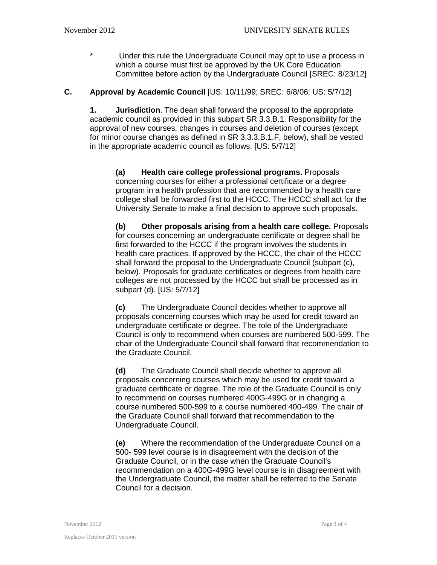\* Under this rule the Undergraduate Council may opt to use a process in which a course must first be approved by the UK Core Education Committee before action by the Undergraduate Council [SREC: 8/23/12]

#### **C. Approval by Academic Council** [US: 10/11/99; SREC: 6/8/06; US: 5/7/12]

**1. Jurisdiction**. The dean shall forward the proposal to the appropriate academic council as provided in this subpart SR 3.3.B.1. Responsibility for the approval of new courses, changes in courses and deletion of courses (except for minor course changes as defined in SR 3.3.3.B.1.F, below), shall be vested in the appropriate academic council as follows: [US: 5/7/12]

**(a) Health care college professional programs.** Proposals concerning courses for either a professional certificate or a degree program in a health profession that are recommended by a health care college shall be forwarded first to the HCCC. The HCCC shall act for the University Senate to make a final decision to approve such proposals.

**(b) Other proposals arising from a health care college.** Proposals for courses concerning an undergraduate certificate or degree shall be first forwarded to the HCCC if the program involves the students in health care practices. If approved by the HCCC, the chair of the HCCC shall forward the proposal to the Undergraduate Council (subpart (c), below). Proposals for graduate certificates or degrees from health care colleges are not processed by the HCCC but shall be processed as in subpart (d). [US: 5/7/12]

**(c)** The Undergraduate Council decides whether to approve all proposals concerning courses which may be used for credit toward an undergraduate certificate or degree. The role of the Undergraduate Council is only to recommend when courses are numbered 500-599. The chair of the Undergraduate Council shall forward that recommendation to the Graduate Council.

**(d)** The Graduate Council shall decide whether to approve all proposals concerning courses which may be used for credit toward a graduate certificate or degree. The role of the Graduate Council is only to recommend on courses numbered 400G-499G or in changing a course numbered 500-599 to a course numbered 400-499. The chair of the Graduate Council shall forward that recommendation to the Undergraduate Council.

**(e)** Where the recommendation of the Undergraduate Council on a 500- 599 level course is in disagreement with the decision of the Graduate Council, or in the case when the Graduate Council's recommendation on a 400G-499G level course is in disagreement with the Undergraduate Council, the matter shall be referred to the Senate Council for a decision.